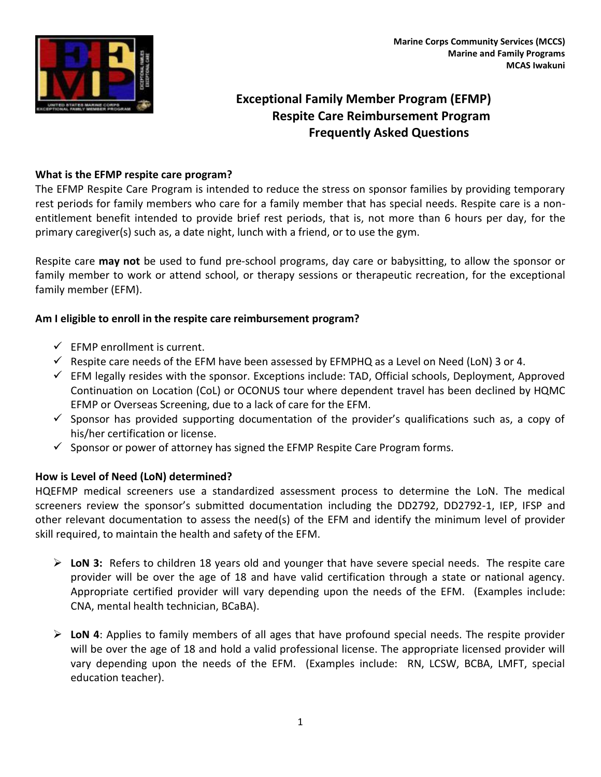

# **Exceptional Family Member Program (EFMP) Respite Care Reimbursement Program Frequently Asked Questions**

## **What is the EFMP respite care program?**

The EFMP Respite Care Program is intended to reduce the stress on sponsor families by providing temporary rest periods for family members who care for a family member that has special needs. Respite care is a nonentitlement benefit intended to provide brief rest periods, that is, not more than 6 hours per day, for the primary caregiver(s) such as, a date night, lunch with a friend, or to use the gym.

Respite care **may not** be used to fund pre-school programs, day care or babysitting, to allow the sponsor or family member to work or attend school, or therapy sessions or therapeutic recreation, for the exceptional family member (EFM).

## **Am I eligible to enroll in the respite care reimbursement program?**

- $\checkmark$  EFMP enrollment is current.
- $\checkmark$  Respite care needs of the EFM have been assessed by EFMPHQ as a Level on Need (LoN) 3 or 4.
- $\checkmark$  EFM legally resides with the sponsor. Exceptions include: TAD, Official schools, Deployment, Approved Continuation on Location (CoL) or OCONUS tour where dependent travel has been declined by HQMC EFMP or Overseas Screening, due to a lack of care for the EFM.
- $\checkmark$  Sponsor has provided supporting documentation of the provider's qualifications such as, a copy of his/her certification or license.
- $\checkmark$  Sponsor or power of attorney has signed the EFMP Respite Care Program forms.

### **How is Level of Need (LoN) determined?**

HQEFMP medical screeners use a standardized assessment process to determine the LoN. The medical screeners review the sponsor's submitted documentation including the DD2792, DD2792-1, IEP, IFSP and other relevant documentation to assess the need(s) of the EFM and identify the minimum level of provider skill required, to maintain the health and safety of the EFM.

- **LoN 3:** Refers to children 18 years old and younger that have severe special needs. The respite care provider will be over the age of 18 and have valid certification through a state or national agency. Appropriate certified provider will vary depending upon the needs of the EFM. (Examples include: CNA, mental health technician, BCaBA).
- **LoN 4**: Applies to family members of all ages that have profound special needs. The respite provider will be over the age of 18 and hold a valid professional license. The appropriate licensed provider will vary depending upon the needs of the EFM. (Examples include: RN, LCSW, BCBA, LMFT, special education teacher).